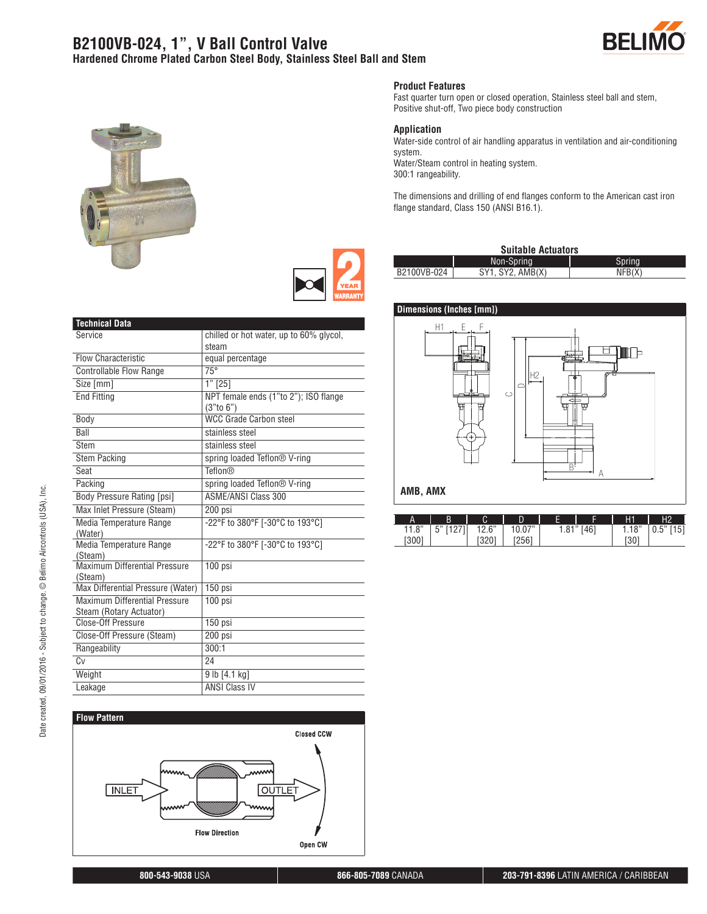### **B2100VB-024, 1", V Ball Control Valve Hardened Chrome Plated Carbon Steel Body, Stainless Steel Ball and Stem**





#### **Product Features**

Fast quarter turn open or closed operation, Stainless steel ball and stem, Positive shut-off, Two piece body construction

#### **Application**

Water-side control of air handling apparatus in ventilation and air-conditioning system. Water/Steam control in heating system.

300:1 rangeability.

The dimensions and drilling of end flanges conform to the American cast iron flange standard, Class 150 (ANSI B16.1).

| <b>Suitable Actuators</b> |                  |        |  |  |
|---------------------------|------------------|--------|--|--|
|                           | Non-Spring       | Sprina |  |  |
| B2100VB-024               | SY1. SY2. AMB(X) | NFB(X) |  |  |



| A                 | B                   | $\sim$<br>U            | ח<br>U       |    |                   | H1            | Н2         |
|-------------------|---------------------|------------------------|--------------|----|-------------------|---------------|------------|
| $^{\circ}$<br>. 0 | $\mathsf{L}''$<br>J | 10 <sup>o</sup><br>c.u | יי ר<br>v.v  | .0 | ,,,<br>11<br>ו ש⊤ | 10"<br>l. I ŏ | 151<br>υ.υ |
| (300)             |                     | ∪∠ن                    | 12561<br>LUU |    |                   | roni<br>ى1.   |            |

| <b>Technical Data</b>                                    |                                                       |
|----------------------------------------------------------|-------------------------------------------------------|
| Service                                                  | chilled or hot water, up to 60% glycol,<br>steam      |
| <b>Flow Characteristic</b>                               | equal percentage                                      |
| <b>Controllable Flow Range</b>                           | $75^\circ$                                            |
| Size [mm]                                                | $1"$ [25]                                             |
| <b>End Fitting</b>                                       | NPT female ends (1"to 2"); ISO flange<br>$(3"$ to 6") |
| Body                                                     | <b>WCC Grade Carbon steel</b>                         |
| Ball                                                     | stainless steel                                       |
| Stem                                                     | stainless steel                                       |
| <b>Stem Packing</b>                                      | spring loaded Teflon <sup>®</sup> V-ring              |
| Seat                                                     | <b>Teflon®</b>                                        |
| Packing                                                  | spring loaded Teflon <sup>®</sup> V-ring              |
| <b>Body Pressure Rating [psi]</b>                        | <b>ASME/ANSI Class 300</b>                            |
| Max Inlet Pressure (Steam)                               | 200 psi                                               |
| Media Temperature Range<br>(Water)                       | -22°F to 380°F [-30°C to 193°C]                       |
| Media Temperature Range<br>(Steam)                       | -22°F to 380°F [-30°C to 193°C]                       |
| Maximum Differential Pressure<br>(Steam)                 | 100 psi                                               |
| Max Differential Pressure (Water)                        | 150 psi                                               |
| Maximum Differential Pressure<br>Steam (Rotary Actuator) | $100$ psi                                             |
| Close-Off Pressure                                       | 150 psi                                               |
| Close-Off Pressure (Steam)                               | 200 psi                                               |
| Rangeability                                             | 300:1                                                 |
| $\overline{Cv}$                                          | 24                                                    |
| Weight                                                   | $9$ lb $[4.1$ kg]                                     |
| Leakage                                                  | <b>ANSI Class IV</b>                                  |



Date created, 09/01/2016 - Subject to change. © Belimo Aircontrols (USA), Inc.

Date created, 09/01/2016 - Subject to change. @ Belimo Aircontrols (USA), Inc.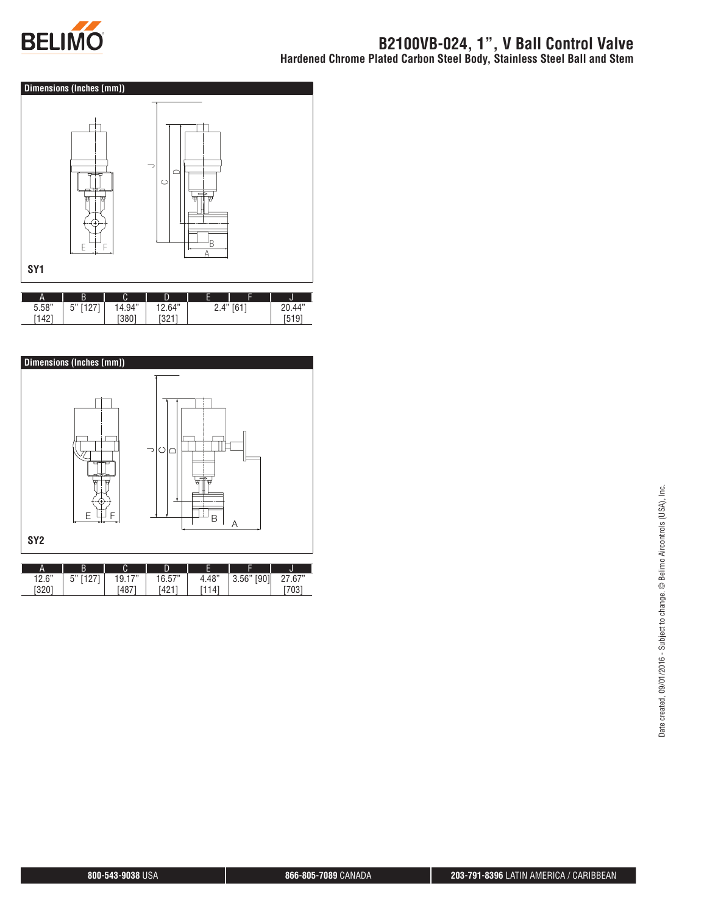



| А     | B              | C<br>U | E            | -<br>-<br>-    |        |                   |
|-------|----------------|--------|--------------|----------------|--------|-------------------|
| 5.58" | --<br>г.,<br>ັ | 4.94"  | $\angle 64"$ | Δ"<br><u>.</u> | $FA+7$ | .44"              |
| 142   |                | (380)  | 10017<br>ັບ∠ |                |        | $\mathsf{h}$<br>u |

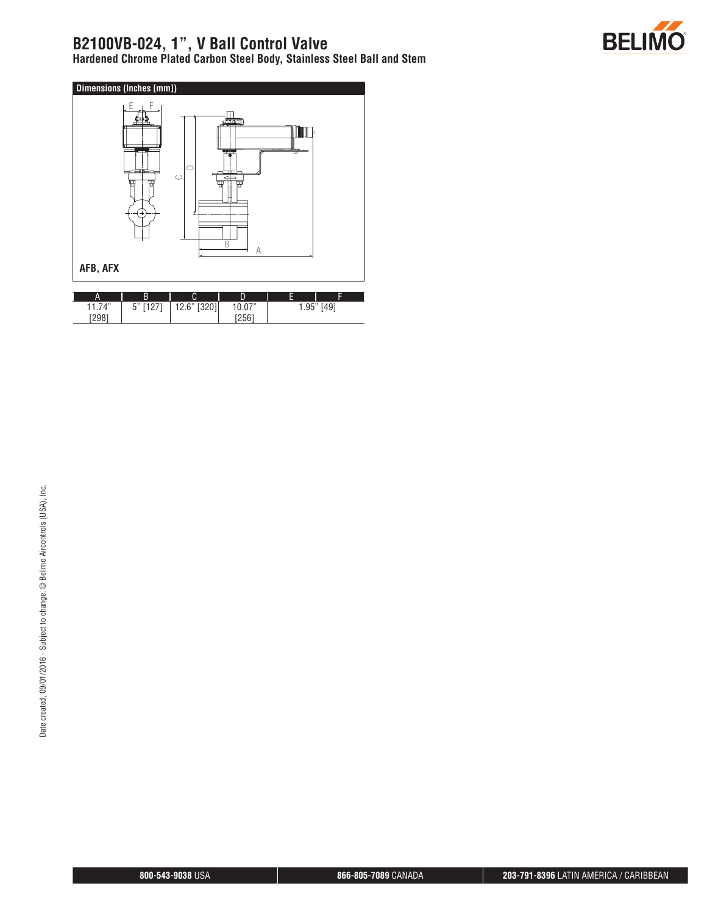# **B2100VB-024, 1", V Ball Control Valve**

**Hardened Chrome Plated Carbon Steel Body, Stainless Steel Ball and Stem**



| Α                        |                             | ⌒<br>u                               | -                                    | -    | -    |
|--------------------------|-----------------------------|--------------------------------------|--------------------------------------|------|------|
| 74"<br>$\cdots$<br>[298] | $\sim$<br>г"<br>ັ<br>.<br>٠ | [320]<br>$\mathbb{C}^n$<br>14.0<br>ı | 07"<br><b>.</b> v. v<br>12561<br>ZŰU | .95" | ,491 |

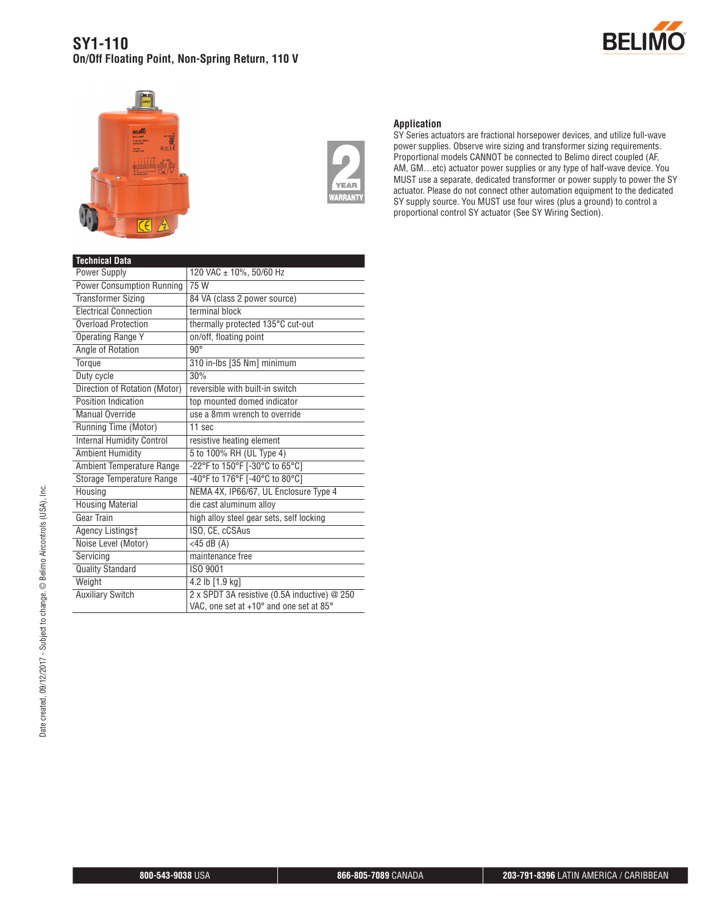### **SY1-110 On/Off Floating Point, Non-Spring Return, 110 V**







#### **Application**

SY Series actuators are fractional horsepower devices, and utilize full-wave power supplies. Observe wire sizing and transformer sizing requirements. Proportional models CANNOT be connected to Belimo direct coupled (AF, AM, GM…etc) actuator power supplies or any type of half-wave device. You MUST use a separate, dedicated transformer or power supply to power the SY actuator. Please do not connect other automation equipment to the dedicated SY supply source. You MUST use four wires (plus a ground) to control a proportional control SY actuator (See SY Wiring Section).

| <b>Technical Data</b>            |                                              |  |  |  |
|----------------------------------|----------------------------------------------|--|--|--|
| Power Supply                     | 120 VAC ± 10%, 50/60 Hz                      |  |  |  |
| <b>Power Consumption Running</b> | 75 W                                         |  |  |  |
| <b>Transformer Sizing</b>        | 84 VA (class 2 power source)                 |  |  |  |
| <b>Electrical Connection</b>     | terminal block                               |  |  |  |
| Overload Protection              | thermally protected 135°C cut-out            |  |  |  |
| <b>Operating Range Y</b>         | on/off, floating point                       |  |  |  |
| Angle of Rotation                | $90^\circ$                                   |  |  |  |
| Torque                           | 310 in-Ibs [35 Nm] minimum                   |  |  |  |
| Duty cycle                       | 30%                                          |  |  |  |
| Direction of Rotation (Motor)    | reversible with built-in switch              |  |  |  |
| Position Indication              | top mounted domed indicator                  |  |  |  |
| Manual Override                  | use a 8mm wrench to override                 |  |  |  |
| Running Time (Motor)             | 11 sec                                       |  |  |  |
| <b>Internal Humidity Control</b> | resistive heating element                    |  |  |  |
| <b>Ambient Humidity</b>          | 5 to 100% RH (UL Type 4)                     |  |  |  |
| Ambient Temperature Range        | -22°F to 150°F [-30°C to 65°C]               |  |  |  |
| Storage Temperature Range        | -40°F to 176°F [-40°C to 80°C]               |  |  |  |
| Housing                          | NEMA 4X, IP66/67, UL Enclosure Type 4        |  |  |  |
| <b>Housing Material</b>          | die cast aluminum allov                      |  |  |  |
| Gear Train                       | high alloy steel gear sets, self locking     |  |  |  |
| Agency Listingst                 | ISO, CE, cCSAus                              |  |  |  |
| Noise Level (Motor)              | $<$ 45 dB $(A)$                              |  |  |  |
| Servicing                        | maintenance free                             |  |  |  |
| <b>Quality Standard</b>          | ISO 9001                                     |  |  |  |
| Weight                           | 4.2 lb [1.9 kg]                              |  |  |  |
| <b>Auxiliary Switch</b>          | 2 x SPDT 3A resistive (0.5A inductive) @ 250 |  |  |  |
|                                  | VAC, one set at +10° and one set at 85°      |  |  |  |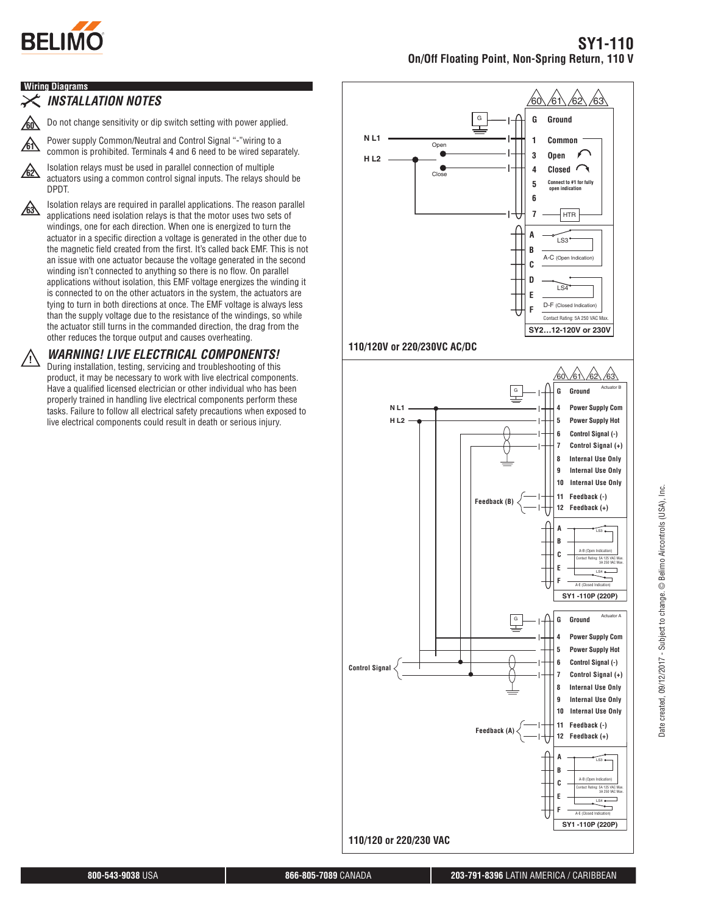

### **Wiring Diagrams**

### *INSTALLATION NOTES*

**60** Do not change sensitivity or dip switch setting with power applied.

**61** Power supply Common/Neutral and Control Signal "-"wiring to a common is prohibited. Terminals 4 and 6 need to be wired separately.

**62** Isolation relays must be used in parallel connection of multiple actuators using a common control signal inputs. The relays should be DPDT.

**63** Isolation relays are required in parallel applications. The reason parallel applications need isolation relays is that the motor uses two sets of windings, one for each direction. When one is energized to turn the actuator in a specific direction a voltage is generated in the other due to the magnetic field created from the first. It's called back EMF. This is not an issue with one actuator because the voltage generated in the second winding isn't connected to anything so there is no flow. On parallel applications without isolation, this EMF voltage energizes the winding it is connected to on the other actuators in the system, the actuators are tying to turn in both directions at once. The EMF voltage is always less than the supply voltage due to the resistance of the windings, so while the actuator still turns in the commanded direction, the drag from the other reduces the torque output and causes overheating.

# **!** *WARNING! LIVE ELECTRICAL COMPONENTS!*

During installation, testing, servicing and troubleshooting of this product, it may be necessary to work with live electrical components. Have a qualified licensed electrician or other individual who has been properly trained in handling live electrical components perform these tasks. Failure to follow all electrical safety precautions when exposed to live electrical components could result in death or serious injury.